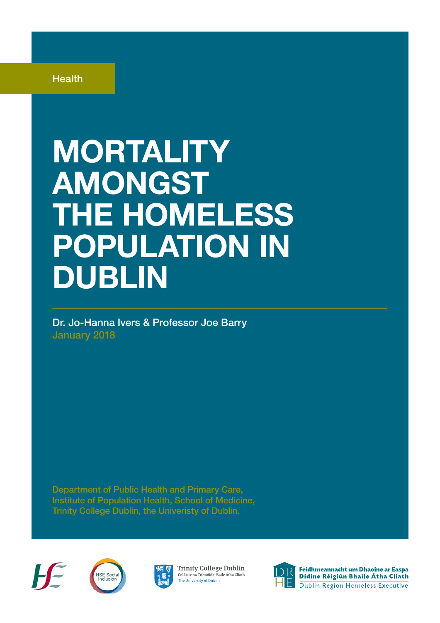**Health** 

## MORTALITY AMONGST THE HOMELESS POPULATION IN DUBLIN

Dr. Jo-Hanna Ivers & Professor Joe Barry January 2018

Department of Public Health and Primary Care, Institute of Population Health, School of Medicine, Trinity College Dublin, the Univeristy of Dublin.









Feidhmeannacht um Dhaoine ar Easpa Dídine Réigiún Bhaile Átha Cliath Dublin Region Homeless Executive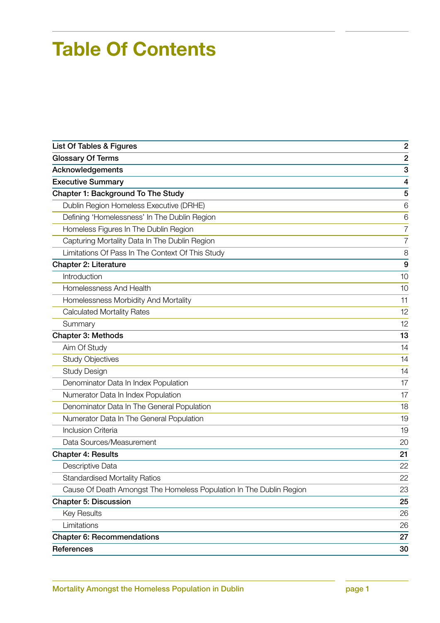## Table Of Contents

| List Of Tables & Figures                                            | $\overline{c}$ |
|---------------------------------------------------------------------|----------------|
| <b>Glossary Of Terms</b>                                            | $\overline{2}$ |
| Acknowledgements                                                    | 3              |
| <b>Executive Summary</b>                                            | 4              |
| <b>Chapter 1: Background To The Study</b>                           | 5              |
| Dublin Region Homeless Executive (DRHE)                             | 6              |
| Defining 'Homelessness' In The Dublin Region                        | 6              |
| Homeless Figures In The Dublin Region                               | $\overline{7}$ |
| Capturing Mortality Data In The Dublin Region                       | $\overline{7}$ |
| Limitations Of Pass In The Context Of This Study                    | 8              |
| <b>Chapter 2: Literature</b>                                        | 9              |
| Introduction                                                        | 10             |
| Homelessness And Health                                             | 10             |
| Homelessness Morbidity And Mortality                                | 11             |
| <b>Calculated Mortality Rates</b>                                   | 12             |
| Summary                                                             | 12             |
| <b>Chapter 3: Methods</b>                                           | 13             |
| Aim Of Study                                                        | 14             |
| <b>Study Objectives</b>                                             | 14             |
| <b>Study Design</b>                                                 | 14             |
| Denominator Data In Index Population                                | 17             |
| Numerator Data In Index Population                                  | 17             |
| Denominator Data In The General Population                          | 18             |
| Numerator Data In The General Population                            | 19             |
| <b>Inclusion Criteria</b>                                           | 19             |
| Data Sources/Measurement                                            | 20             |
| <b>Chapter 4: Results</b>                                           | 21             |
| Descriptive Data                                                    | 22             |
| <b>Standardised Mortality Ratios</b>                                | 22             |
| Cause Of Death Amongst The Homeless Population In The Dublin Region | 23             |
| <b>Chapter 5: Discussion</b>                                        | 25             |
| <b>Key Results</b>                                                  | 26             |
| Limitations                                                         | 26             |
| <b>Chapter 6: Recommendations</b>                                   | 27             |
| References                                                          | 30             |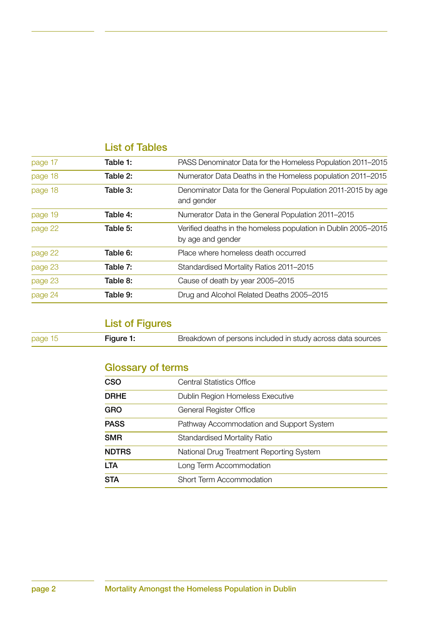### List of Tables

| page 17 | Table 1: | PASS Denominator Data for the Homeless Population 2011–2015                         |
|---------|----------|-------------------------------------------------------------------------------------|
| page 18 | Table 2: | Numerator Data Deaths in the Homeless population 2011-2015                          |
| page 18 | Table 3: | Denominator Data for the General Population 2011-2015 by age<br>and gender          |
| page 19 | Table 4: | Numerator Data in the General Population 2011-2015                                  |
| page 22 | Table 5: | Verified deaths in the homeless population in Dublin 2005-2015<br>by age and gender |
| page 22 | Table 6: | Place where homeless death occurred                                                 |
| page 23 | Table 7: | Standardised Mortality Ratios 2011-2015                                             |
| page 23 | Table 8: | Cause of death by year 2005-2015                                                    |
| page 24 | Table 9: | Drug and Alcohol Related Deaths 2005-2015                                           |

### List of Figures

| page 15<br>Figure 1: | Breakdown of persons included in study across data sources |
|----------------------|------------------------------------------------------------|
|----------------------|------------------------------------------------------------|

### Glossary of terms

| CSO<br>Central Statistics Office                         |  |
|----------------------------------------------------------|--|
|                                                          |  |
| <b>DRHE</b><br>Dublin Region Homeless Executive          |  |
| GRO<br>General Register Office                           |  |
| <b>PASS</b><br>Pathway Accommodation and Support System  |  |
| <b>SMR</b><br><b>Standardised Mortality Ratio</b>        |  |
| <b>NDTRS</b><br>National Drug Treatment Reporting System |  |
| <b>LTA</b><br>Long Term Accommodation                    |  |
| <b>STA</b><br>Short Term Accommodation                   |  |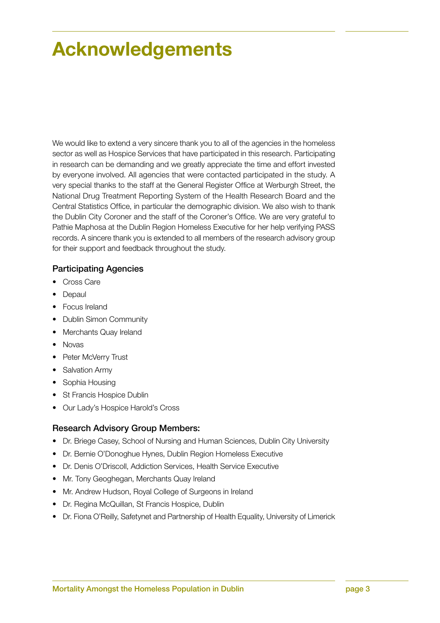## Acknowledgements

We would like to extend a very sincere thank you to all of the agencies in the homeless sector as well as Hospice Services that have participated in this research. Participating in research can be demanding and we greatly appreciate the time and effort invested by everyone involved. All agencies that were contacted participated in the study. A very special thanks to the staff at the General Register Office at Werburgh Street, the National Drug Treatment Reporting System of the Health Research Board and the Central Statistics Office, in particular the demographic division. We also wish to thank the Dublin City Coroner and the staff of the Coroner's Office. We are very grateful to Pathie Maphosa at the Dublin Region Homeless Executive for her help verifying PASS records. A sincere thank you is extended to all members of the research advisory group for their support and feedback throughout the study.

#### Participating Agencies

- Cross Care
- Depaul
- Focus Ireland
- Dublin Simon Community
- Merchants Quay Ireland
- Novas
- Peter McVerry Trust
- Salvation Army
- Sophia Housing
- St Francis Hospice Dublin
- Our Lady's Hospice Harold's Cross

#### Research Advisory Group Members:

- Dr. Briege Casey, School of Nursing and Human Sciences, Dublin City University
- Dr. Bernie O'Donoghue Hynes, Dublin Region Homeless Executive
- Dr. Denis O'Driscoll, Addiction Services, Health Service Executive
- Mr. Tony Geoghegan, Merchants Quay Ireland
- Mr. Andrew Hudson, Royal College of Surgeons in Ireland
- Dr. Regina McQuillan, St Francis Hospice, Dublin
- Dr. Fiona O'Reilly, Safetynet and Partnership of Health Equality, University of Limerick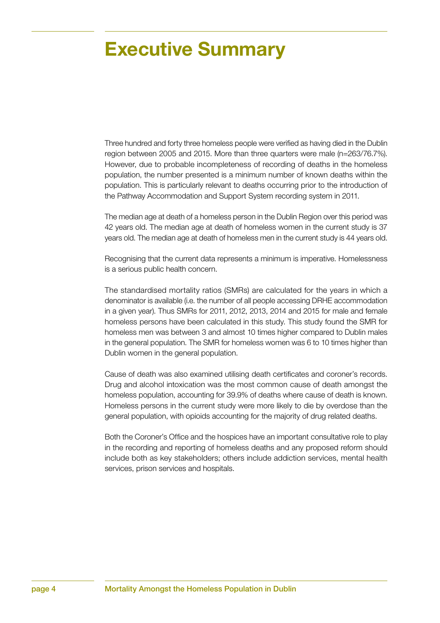## Executive Summary

Three hundred and forty three homeless people were verified as having died in the Dublin region between 2005 and 2015. More than three quarters were male (n=263/76.7%). However, due to probable incompleteness of recording of deaths in the homeless population, the number presented is a minimum number of known deaths within the population. This is particularly relevant to deaths occurring prior to the introduction of the Pathway Accommodation and Support System recording system in 2011.

The median age at death of a homeless person in the Dublin Region over this period was 42 years old. The median age at death of homeless women in the current study is 37 years old. The median age at death of homeless men in the current study is 44 years old.

Recognising that the current data represents a minimum is imperative. Homelessness is a serious public health concern.

The standardised mortality ratios (SMRs) are calculated for the years in which a denominator is available (i.e. the number of all people accessing DRHE accommodation in a given year). Thus SMRs for 2011, 2012, 2013, 2014 and 2015 for male and female homeless persons have been calculated in this study. This study found the SMR for homeless men was between 3 and almost 10 times higher compared to Dublin males in the general population. The SMR for homeless women was 6 to 10 times higher than Dublin women in the general population.

Cause of death was also examined utilising death certificates and coroner's records. Drug and alcohol intoxication was the most common cause of death amongst the homeless population, accounting for 39.9% of deaths where cause of death is known. Homeless persons in the current study were more likely to die by overdose than the general population, with opioids accounting for the majority of drug related deaths.

Both the Coroner's Office and the hospices have an important consultative role to play in the recording and reporting of homeless deaths and any proposed reform should include both as key stakeholders; others include addiction services, mental health services, prison services and hospitals.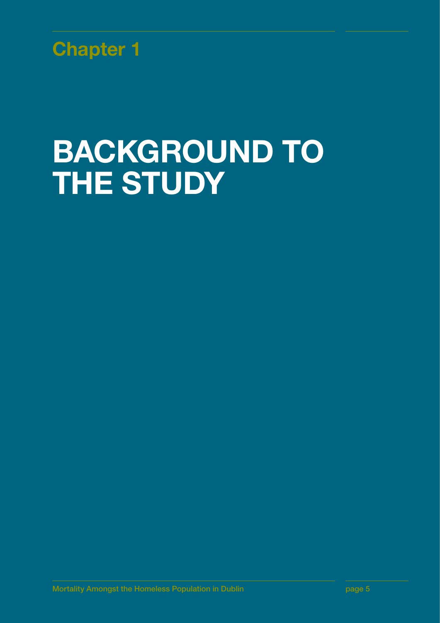

## BACKGROUND TO **THE STUDY**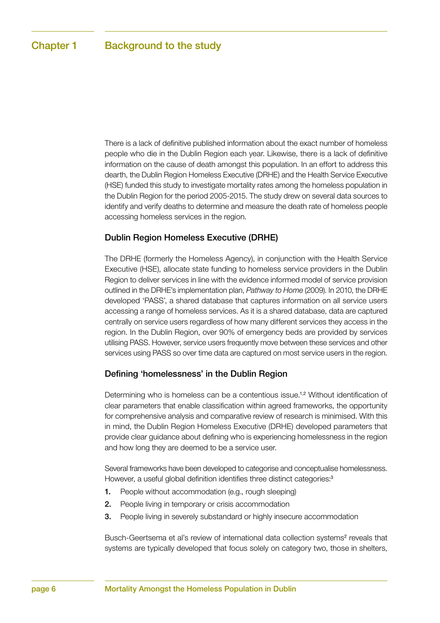There is a lack of definitive published information about the exact number of homeless people who die in the Dublin Region each year. Likewise, there is a lack of definitive information on the cause of death amongst this population. In an effort to address this dearth, the Dublin Region Homeless Executive (DRHE) and the Health Service Executive (HSE) funded this study to investigate mortality rates among the homeless population in the Dublin Region for the period 2005-2015. The study drew on several data sources to identify and verify deaths to determine and measure the death rate of homeless people accessing homeless services in the region.

#### Dublin Region Homeless Executive (DRHE)

The DRHE (formerly the Homeless Agency), in conjunction with the Health Service Executive (HSE), allocate state funding to homeless service providers in the Dublin Region to deliver services in line with the evidence informed model of service provision outlined in the DRHE's implementation plan, *Pathway to Home* (2009). In 2010, the DRHE developed 'PASS', a shared database that captures information on all service users accessing a range of homeless services. As it is a shared database, data are captured centrally on service users regardless of how many different services they access in the region. In the Dublin Region, over 90% of emergency beds are provided by services utilising PASS. However, service users frequently move between these services and other services using PASS so over time data are captured on most service users in the region.

#### Defining 'homelessness' in the Dublin Region

Determining who is homeless can be a contentious issue.1,2 Without identification of clear parameters that enable classification within agreed frameworks, the opportunity for comprehensive analysis and comparative review of research is minimised. With this in mind, the Dublin Region Homeless Executive (DRHE) developed parameters that provide clear guidance about defining who is experiencing homelessness in the region and how long they are deemed to be a service user.

Several frameworks have been developed to categorise and conceptualise homelessness. However, a useful global definition identifies three distinct categories:<sup>3</sup>

- 1. People without accommodation (e.g., rough sleeping)
- 2. People living in temporary or crisis accommodation
- 3. People living in severely substandard or highly insecure accommodation

Busch-Geertsema et al's review of international data collection systems<sup>2</sup> reveals that systems are typically developed that focus solely on category two, those in shelters,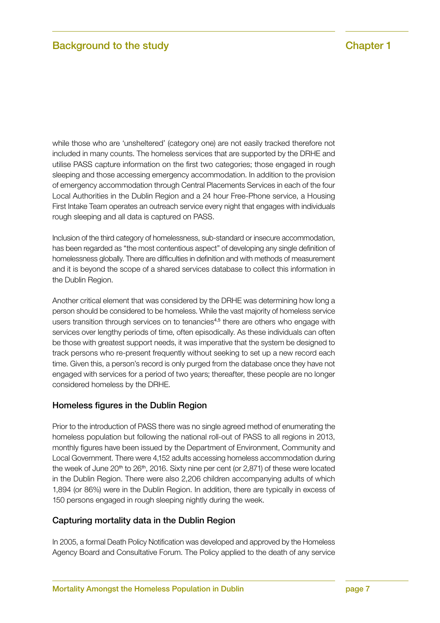while those who are 'unsheltered' (category one) are not easily tracked therefore not included in many counts. The homeless services that are supported by the DRHE and utilise PASS capture information on the first two categories; those engaged in rough sleeping and those accessing emergency accommodation. In addition to the provision of emergency accommodation through Central Placements Services in each of the four Local Authorities in the Dublin Region and a 24 hour Free-Phone service, a Housing First Intake Team operates an outreach service every night that engages with individuals rough sleeping and all data is captured on PASS.

Inclusion of the third category of homelessness, sub-standard or insecure accommodation, has been regarded as "the most contentious aspect" of developing any single definition of homelessness globally. There are difficulties in definition and with methods of measurement and it is beyond the scope of a shared services database to collect this information in the Dublin Region.

Another critical element that was considered by the DRHE was determining how long a person should be considered to be homeless. While the vast majority of homeless service users transition through services on to tenancies<sup>4,5</sup> there are others who engage with services over lengthy periods of time, often episodically. As these individuals can often be those with greatest support needs, it was imperative that the system be designed to track persons who re-present frequently without seeking to set up a new record each time. Given this, a person's record is only purged from the database once they have not engaged with services for a period of two years; thereafter, these people are no longer considered homeless by the DRHE.

#### Homeless figures in the Dublin Region

Prior to the introduction of PASS there was no single agreed method of enumerating the homeless population but following the national roll-out of PASS to all regions in 2013, monthly figures have been issued by the Department of Environment, Community and Local Government. There were 4,152 adults accessing homeless accommodation during the week of June 20<sup>th</sup> to 26<sup>th</sup>, 2016. Sixty nine per cent (or 2,871) of these were located in the Dublin Region. There were also 2,206 children accompanying adults of which 1,894 (or 86%) were in the Dublin Region. In addition, there are typically in excess of 150 persons engaged in rough sleeping nightly during the week.

#### Capturing mortality data in the Dublin Region

In 2005, a formal Death Policy Notification was developed and approved by the Homeless Agency Board and Consultative Forum. The Policy applied to the death of any service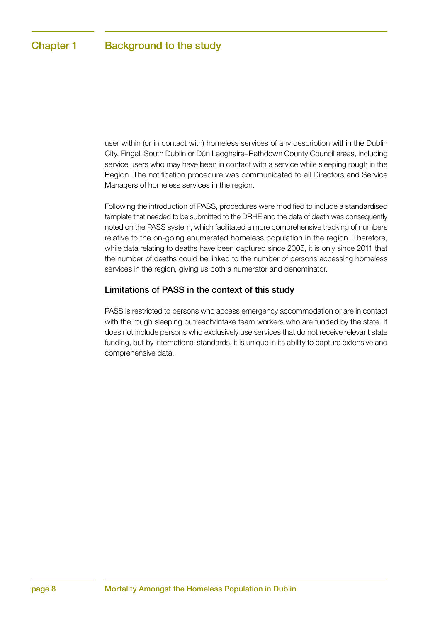user within (or in contact with) homeless services of any description within the Dublin City, Fingal, South Dublin or Dún Laoghaire–Rathdown County Council areas, including service users who may have been in contact with a service while sleeping rough in the Region. The notification procedure was communicated to all Directors and Service Managers of homeless services in the region.

Following the introduction of PASS, procedures were modified to include a standardised template that needed to be submitted to the DRHE and the date of death was consequently noted on the PASS system, which facilitated a more comprehensive tracking of numbers relative to the on-going enumerated homeless population in the region. Therefore, while data relating to deaths have been captured since 2005, it is only since 2011 that the number of deaths could be linked to the number of persons accessing homeless services in the region, giving us both a numerator and denominator.

#### Limitations of PASS in the context of this study

PASS is restricted to persons who access emergency accommodation or are in contact with the rough sleeping outreach/intake team workers who are funded by the state. It does not include persons who exclusively use services that do not receive relevant state funding, but by international standards, it is unique in its ability to capture extensive and comprehensive data.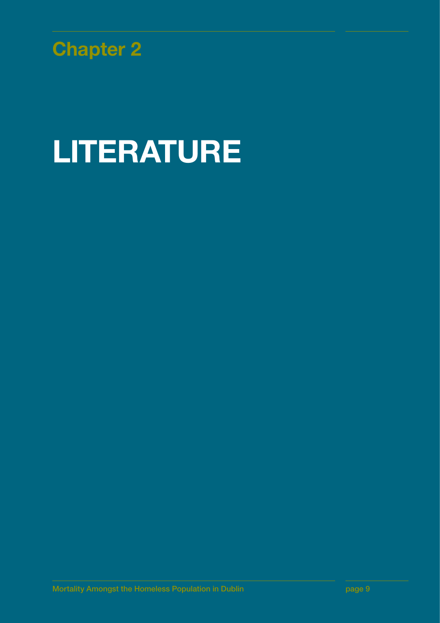

# LITERATURE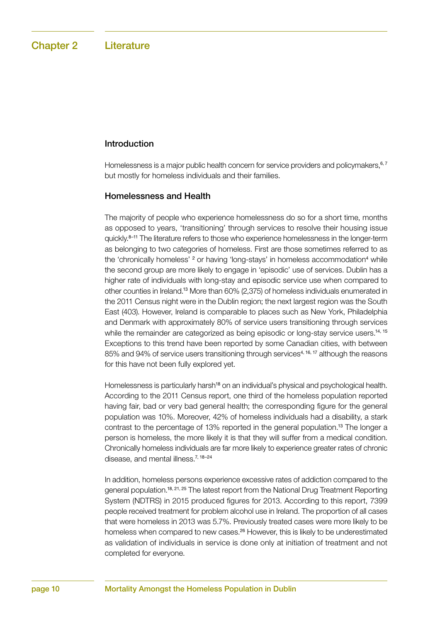#### Introduction

Homelessness is a major public health concern for service providers and policymakers,<sup>6,7</sup> but mostly for homeless individuals and their families.

#### Homelessness and Health

The majority of people who experience homelessness do so for a short time, months as opposed to years, 'transitioning' through services to resolve their housing issue quickly.<sup>8–11</sup> The literature refers to those who experience homelessness in the longer-term as belonging to two categories of homeless. First are those sometimes referred to as the 'chronically homeless' <sup>2</sup> or having 'long-stays' in homeless accommodation<sup>4</sup> while the second group are more likely to engage in 'episodic' use of services. Dublin has a higher rate of individuals with long-stay and episodic service use when compared to other counties in Ireland.13 More than 60% (2,375) of homeless individuals enumerated in the 2011 Census night were in the Dublin region; the next largest region was the South East (403). However, Ireland is comparable to places such as New York, Philadelphia and Denmark with approximately 80% of service users transitioning through services while the remainder are categorized as being episodic or long-stay service users.<sup>14, 15</sup> Exceptions to this trend have been reported by some Canadian cities, with between 85% and 94% of service users transitioning through services<sup>4, 16, 17</sup> although the reasons for this have not been fully explored yet.

Homelessness is particularly harsh<sup>18</sup> on an individual's physical and psychological health. According to the 2011 Census report, one third of the homeless population reported having fair, bad or very bad general health; the corresponding figure for the general population was 10%. Moreover, 42% of homeless individuals had a disability, a stark contrast to the percentage of 13% reported in the general population.<sup>13</sup> The longer a person is homeless, the more likely it is that they will suffer from a medical condition. Chronically homeless individuals are far more likely to experience greater rates of chronic disease, and mental illness.<sup>7, 18-24</sup>

In addition, homeless persons experience excessive rates of addiction compared to the general population.18, 21, 25 The latest report from the National Drug Treatment Reporting System (NDTRS) in 2015 produced figures for 2013. According to this report, 7399 people received treatment for problem alcohol use in Ireland. The proportion of all cases that were homeless in 2013 was 5.7%. Previously treated cases were more likely to be homeless when compared to new cases.<sup>26</sup> However, this is likely to be underestimated as validation of individuals in service is done only at initiation of treatment and not completed for everyone.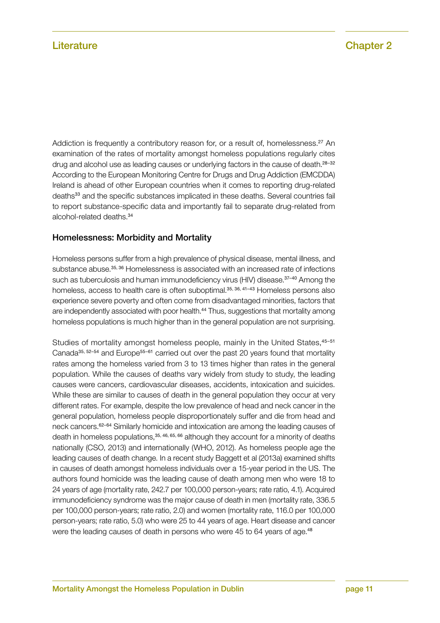Addiction is frequently a contributory reason for, or a result of, homelessness.<sup>27</sup> An examination of the rates of mortality amongst homeless populations regularly cites drug and alcohol use as leading causes or underlying factors in the cause of death.<sup>28-32</sup> According to the European Monitoring Centre for Drugs and Drug Addiction (EMCDDA) Ireland is ahead of other European countries when it comes to reporting drug-related deaths<sup>33</sup> and the specific substances implicated in these deaths. Several countries fail to report substance-specific data and importantly fail to separate drug-related from alcohol-related deaths.<sup>34</sup>

#### Homelessness: Morbidity and Mortality

Homeless persons suffer from a high prevalence of physical disease, mental illness, and substance abuse.<sup>35, 36</sup> Homelessness is associated with an increased rate of infections such as tuberculosis and human immunodeficiency virus (HIV) disease.<sup>37-40</sup> Among the homeless, access to health care is often suboptimal.<sup>35, 36, 41-43</sup> Homeless persons also experience severe poverty and often come from disadvantaged minorities, factors that are independently associated with poor health.<sup>44</sup> Thus, suggestions that mortality among homeless populations is much higher than in the general population are not surprising.

Studies of mortality amongst homeless people, mainly in the United States, 45-51 Canada $35, 52-54$  and Europe<sup>55–61</sup> carried out over the past 20 years found that mortality rates among the homeless varied from 3 to 13 times higher than rates in the general population. While the causes of deaths vary widely from study to study, the leading causes were cancers, cardiovascular diseases, accidents, intoxication and suicides. While these are similar to causes of death in the general population they occur at very different rates. For example, despite the low prevalence of head and neck cancer in the general population, homeless people disproportionately suffer and die from head and neck cancers.62–64 Similarly homicide and intoxication are among the leading causes of death in homeless populations,  $35, 46, 65, 66$  although they account for a minority of deaths nationally (CSO, 2013) and internationally (WHO, 2012). As homeless people age the leading causes of death change. In a recent study Baggett et al (2013a) examined shifts in causes of death amongst homeless individuals over a 15-year period in the US. The authors found homicide was the leading cause of death among men who were 18 to 24 years of age (mortality rate, 242.7 per 100,000 person-years; rate ratio, 4.1). Acquired immunodeficiency syndrome was the major cause of death in men (mortality rate, 336.5 per 100,000 person-years; rate ratio, 2.0) and women (mortality rate, 116.0 per 100,000 person-years; rate ratio, 5.0) who were 25 to 44 years of age. Heart disease and cancer were the leading causes of death in persons who were 45 to 64 years of age.<sup>48</sup>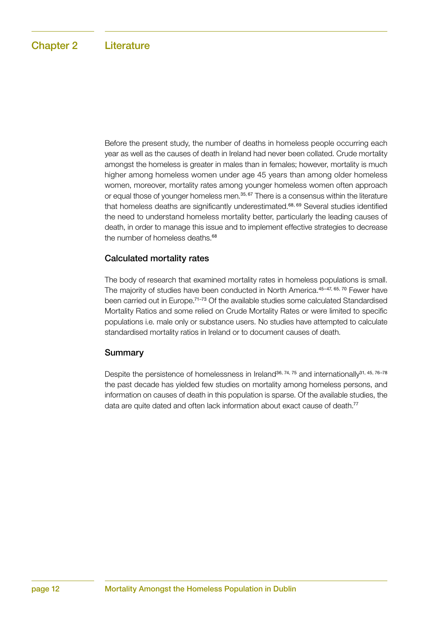Before the present study, the number of deaths in homeless people occurring each year as well as the causes of death in Ireland had never been collated. Crude mortality amongst the homeless is greater in males than in females; however, mortality is much higher among homeless women under age 45 years than among older homeless women, moreover, mortality rates among younger homeless women often approach or equal those of younger homeless men.<sup>35, 67</sup> There is a consensus within the literature that homeless deaths are significantly underestimated.<sup>68, 69</sup> Several studies identified the need to understand homeless mortality better, particularly the leading causes of death, in order to manage this issue and to implement effective strategies to decrease the number of homeless deaths.<sup>68</sup>

#### Calculated mortality rates

The body of research that examined mortality rates in homeless populations is small. The majority of studies have been conducted in North America.<sup>45-47, 65, 70</sup> Fewer have been carried out in Europe.71–73 Of the available studies some calculated Standardised Mortality Ratios and some relied on Crude Mortality Rates or were limited to specific populations i.e. male only or substance users. No studies have attempted to calculate standardised mortality ratios in Ireland or to document causes of death.

#### Summary

Despite the persistence of homelessness in Ireland<sup>36, 74, 75</sup> and internationally<sup>31, 45, 76–78</sup> the past decade has yielded few studies on mortality among homeless persons, and information on causes of death in this population is sparse. Of the available studies, the data are quite dated and often lack information about exact cause of death.<sup>77</sup>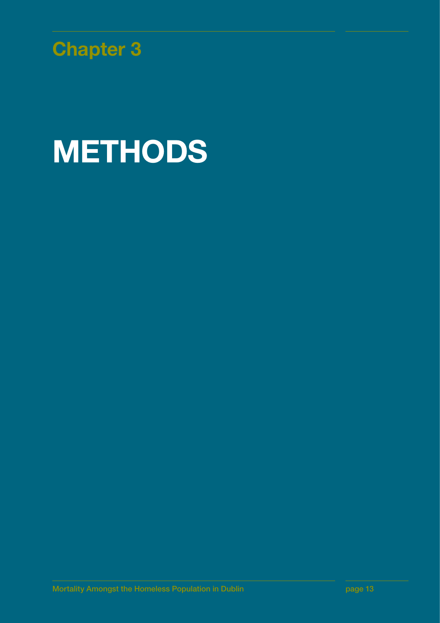

# **METHODS**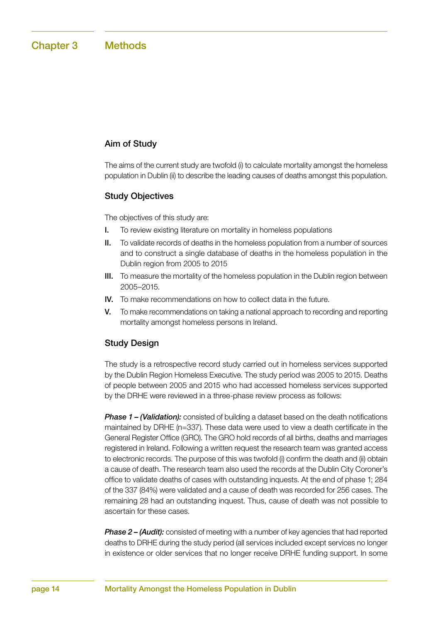#### Aim of Study

The aims of the current study are twofold (i) to calculate mortality amongst the homeless population in Dublin (ii) to describe the leading causes of deaths amongst this population.

#### Study Objectives

The objectives of this study are:

- I. To review existing literature on mortality in homeless populations
- II. To validate records of deaths in the homeless population from a number of sources and to construct a single database of deaths in the homeless population in the Dublin region from 2005 to 2015
- III. To measure the mortality of the homeless population in the Dublin region between 2005–2015.
- IV. To make recommendations on how to collect data in the future.
- V. To make recommendations on taking a national approach to recording and reporting mortality amongst homeless persons in Ireland.

#### Study Design

The study is a retrospective record study carried out in homeless services supported by the Dublin Region Homeless Executive. The study period was 2005 to 2015. Deaths of people between 2005 and 2015 who had accessed homeless services supported by the DRHE were reviewed in a three-phase review process as follows:

*Phase 1 – (Validation):* consisted of building a dataset based on the death notifications maintained by DRHE (n=337). These data were used to view a death certificate in the General Register Office (GRO). The GRO hold records of all births, deaths and marriages registered in Ireland. Following a written request the research team was granted access to electronic records. The purpose of this was twofold (i) confirm the death and (ii) obtain a cause of death. The research team also used the records at the Dublin City Coroner's office to validate deaths of cases with outstanding inquests. At the end of phase 1; 284 of the 337 (84%) were validated and a cause of death was recorded for 256 cases. The remaining 28 had an outstanding inquest. Thus, cause of death was not possible to ascertain for these cases.

*Phase 2 – (Audit):* consisted of meeting with a number of key agencies that had reported deaths to DRHE during the study period (all services included except services no longer in existence or older services that no longer receive DRHE funding support. In some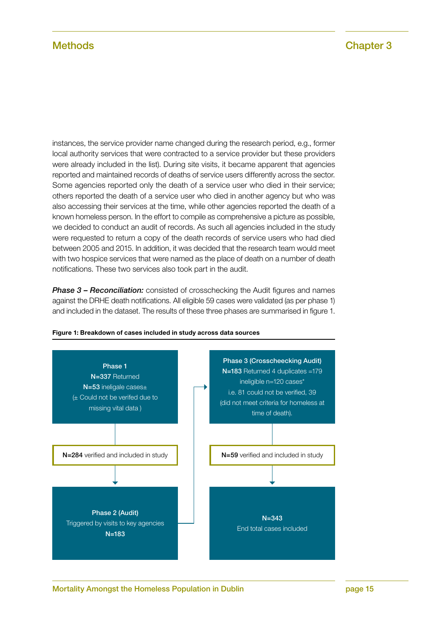instances, the service provider name changed during the research period, e.g., former local authority services that were contracted to a service provider but these providers were already included in the list). During site visits, it became apparent that agencies reported and maintained records of deaths of service users differently across the sector. Some agencies reported only the death of a service user who died in their service; others reported the death of a service user who died in another agency but who was also accessing their services at the time, while other agencies reported the death of a known homeless person. In the effort to compile as comprehensive a picture as possible, we decided to conduct an audit of records. As such all agencies included in the study were requested to return a copy of the death records of service users who had died between 2005 and 2015. In addition, it was decided that the research team would meet with two hospice services that were named as the place of death on a number of death notifications. These two services also took part in the audit.

*Phase 3 – Reconciliation:* consisted of crosschecking the Audit figures and names against the DRHE death notifications. All eligible 59 cases were validated (as per phase 1) and included in the dataset. The results of these three phases are summarised in figure 1.



Figure 1: Breakdown of cases included in study across data sources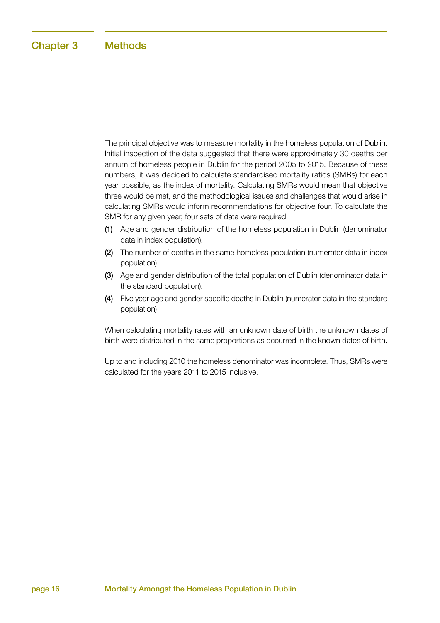The principal objective was to measure mortality in the homeless population of Dublin. Initial inspection of the data suggested that there were approximately 30 deaths per annum of homeless people in Dublin for the period 2005 to 2015. Because of these numbers, it was decided to calculate standardised mortality ratios (SMRs) for each year possible, as the index of mortality. Calculating SMRs would mean that objective three would be met, and the methodological issues and challenges that would arise in calculating SMRs would inform recommendations for objective four. To calculate the SMR for any given year, four sets of data were required.

- (1) Age and gender distribution of the homeless population in Dublin (denominator data in index population).
- (2) The number of deaths in the same homeless population (numerator data in index population).
- (3) Age and gender distribution of the total population of Dublin (denominator data in the standard population).
- (4) Five year age and gender specific deaths in Dublin (numerator data in the standard population)

When calculating mortality rates with an unknown date of birth the unknown dates of birth were distributed in the same proportions as occurred in the known dates of birth.

Up to and including 2010 the homeless denominator was incomplete. Thus, SMRs were calculated for the years 2011 to 2015 inclusive.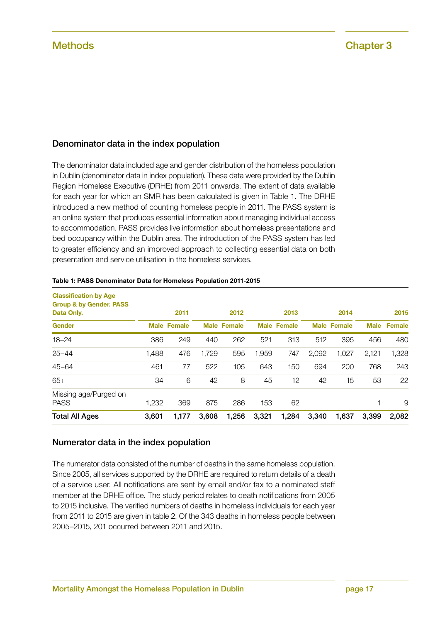#### Denominator data in the index population

The denominator data included age and gender distribution of the homeless population in Dublin (denominator data in index population). These data were provided by the Dublin Region Homeless Executive (DRHE) from 2011 onwards. The extent of data available for each year for which an SMR has been calculated is given in Table 1. The DRHE introduced a new method of counting homeless people in 2011. The PASS system is an online system that produces essential information about managing individual access to accommodation. PASS provides live information about homeless presentations and bed occupancy within the Dublin area. The introduction of the PASS system has led to greater efficiency and an improved approach to collecting essential data on both presentation and service utilisation in the homeless services.

| <b>Classification by Age</b><br><b>Group &amp; by Gender. PASS</b><br>Data Only. |       | 2011               |       | 2012               |       | 2013               |       | 2014               |             | 2015          |
|----------------------------------------------------------------------------------|-------|--------------------|-------|--------------------|-------|--------------------|-------|--------------------|-------------|---------------|
| <b>Gender</b>                                                                    |       | <b>Male Female</b> |       | <b>Male Female</b> |       | <b>Male Female</b> |       | <b>Male Female</b> | <b>Male</b> | <b>Female</b> |
| $18 - 24$                                                                        | 386   | 249                | 440   | 262                | 521   | 313                | 512   | 395                | 456         | 480           |
| $25 - 44$                                                                        | 1,488 | 476                | 1,729 | 595                | 1,959 | 747                | 2,092 | 1,027              | 2,121       | 1,328         |
| $45 - 64$                                                                        | 461   | 77                 | 522   | 105                | 643   | 150                | 694   | 200                | 768         | 243           |
| $65+$                                                                            | 34    | 6                  | 42    | 8                  | 45    | 12                 | 42    | 15                 | 53          | 22            |
| Missing age/Purged on<br><b>PASS</b>                                             | 1,232 | 369                | 875   | 286                | 153   | 62                 |       |                    |             | 9             |
| <b>Total All Ages</b>                                                            | 3,601 | 1,177              | 3,608 | 1,256              | 3,321 | 1,284              | 3.340 | 1,637              | 3,399       | 2,082         |

#### Table 1: PASS Denominator Data for Homeless Population 2011-2015

#### Numerator data in the index population

The numerator data consisted of the number of deaths in the same homeless population. Since 2005, all services supported by the DRHE are required to return details of a death of a service user. All notifications are sent by email and/or fax to a nominated staff member at the DRHE office. The study period relates to death notifications from 2005 to 2015 inclusive. The verified numbers of deaths in homeless individuals for each year from 2011 to 2015 are given in table 2. Of the 343 deaths in homeless people between 2005–2015, 201 occurred between 2011 and 2015.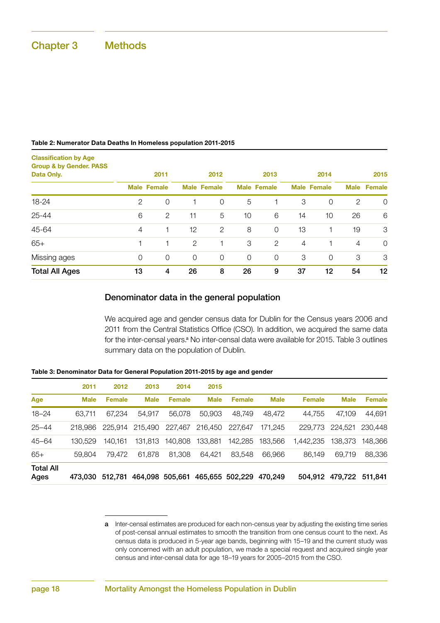### Chapter 3 Methods

#### Table 2: Numerator Data Deaths In Homeless population 2011-2015

| <b>Classification by Age</b><br><b>Group &amp; by Gender. PASS</b><br>Data Only. |             | 2011               |             | 2012               |                | 2013               |                | 2014               |             | 2015           |
|----------------------------------------------------------------------------------|-------------|--------------------|-------------|--------------------|----------------|--------------------|----------------|--------------------|-------------|----------------|
|                                                                                  |             | <b>Male Female</b> |             | <b>Male Female</b> |                | <b>Male Female</b> |                | <b>Male Female</b> | <b>Male</b> | <b>Female</b>  |
| 18-24                                                                            | 2           | $\mathbf 0$        |             | $\mathcal{O}$      | 5              |                    | 3              | 0                  | 2           | $\overline{0}$ |
| $25 - 44$                                                                        | 6           | $\mathbf{2}$       | 11          | 5                  | 10             | 6                  | 14             | 10                 | 26          | 6              |
| 45-64                                                                            | 4           |                    | 12          | 2                  | 8              | $\overline{0}$     | 13             | 1                  | 19          | 3              |
| $65+$                                                                            |             |                    | 2           |                    | 3              | $\overline{2}$     | $\overline{4}$ |                    | 4           | $\mathcal{O}$  |
| Missing ages                                                                     | $\mathbf 0$ | $\overline{0}$     | $\mathbf 0$ | $\Omega$           | $\overline{0}$ | $\circ$            | 3              | 0                  | 3           | 3              |
| <b>Total All Ages</b>                                                            | 13          | 4                  | 26          | 8                  | 26             | 9                  | 37             | 12                 | 54          | 12             |

#### Denominator data in the general population

We acquired age and gender census data for Dublin for the Census years 2006 and 2011 from the Central Statistics Office (CSO). In addition, we acquired the same data for the inter-censal years.<sup>a</sup> No inter-censal data were available for 2015. Table 3 outlines summary data on the population of Dublin.

| Table 3: Denominator Data for General Population 2011-2015 by age and gender |  |  |  |
|------------------------------------------------------------------------------|--|--|--|
|------------------------------------------------------------------------------|--|--|--|

|                          | 2011        | 2012          | 2013        | 2014            | 2015        |                 |             |               |                 |               |
|--------------------------|-------------|---------------|-------------|-----------------|-------------|-----------------|-------------|---------------|-----------------|---------------|
| Age                      | <b>Male</b> | <b>Female</b> | <b>Male</b> | <b>Female</b>   | <b>Male</b> | <b>Female</b>   | <b>Male</b> | <b>Female</b> | <b>Male</b>     | <b>Female</b> |
| $18 - 24$                | 63.711      | 67.234        | 54.917      | 56,078          | 50,903      | 48.749          | 48.472      | 44.755        | 47.109          | 44,691        |
| $25 - 44$                | 218.986     | 225.914       | 215.490     | 227.467         | 216,450     | 227.647         | 171.245     | 229,773       | 224.521         | 230,448       |
| $45 - 64$                | 130.529     | 140.161       | 131.813     | 140.808         | 133.881     | 142.285         | 183,566     | 1.442.235     | 138.373         | 148.366       |
| $65+$                    | 59,804      | 79.472        | 61.878      | 81.308          | 64.421      | 83.548          | 66.966      | 86.149        | 69.719          | 88,336        |
| <b>Total All</b><br>Ages | 473.030     | 512.781       |             | 464,098 505,661 |             | 465,655 502,229 | 470.249     | 504.912       | 479,722 511,841 |               |

a Inter-censal estimates are produced for each non-census year by adjusting the existing time series of post-censal annual estimates to smooth the transition from one census count to the next. As census data is produced in 5-year age bands, beginning with 15–19 and the current study was only concerned with an adult population, we made a special request and acquired single year census and inter-censal data for age 18–19 years for 2005–2015 from the CSO.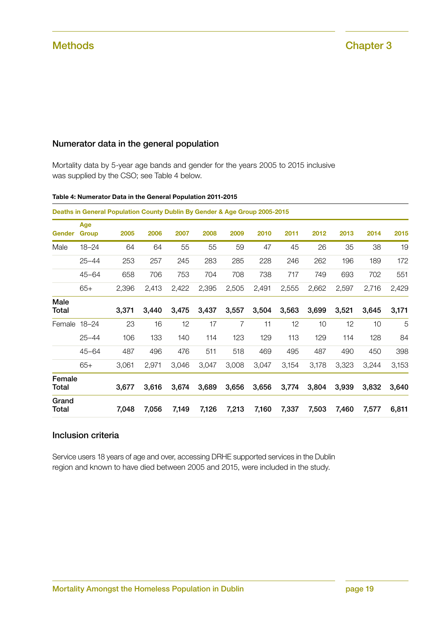#### Numerator data in the general population

Mortality data by 5-year age bands and gender for the years 2005 to 2015 inclusive was supplied by the CSO; see Table 4 below.

|                      |                     | Deaths in General Population County Dublin By Gender & Age Group 2005-2015 |       |       |       |       |       |       |       |       |       |       |
|----------------------|---------------------|----------------------------------------------------------------------------|-------|-------|-------|-------|-------|-------|-------|-------|-------|-------|
| <b>Gender</b>        | Age<br><b>Group</b> | 2005                                                                       | 2006  | 2007  | 2008  | 2009  | 2010  | 2011  | 2012  | 2013  | 2014  | 2015  |
| Male                 | $18 - 24$           | 64                                                                         | 64    | 55    | 55    | 59    | 47    | 45    | 26    | 35    | 38    | 19    |
|                      | $25 - 44$           | 253                                                                        | 257   | 245   | 283   | 285   | 228   | 246   | 262   | 196   | 189   | 172   |
|                      | $45 - 64$           | 658                                                                        | 706   | 753   | 704   | 708   | 738   | 717   | 749   | 693   | 702   | 551   |
|                      | $65+$               | 2,396                                                                      | 2,413 | 2,422 | 2,395 | 2,505 | 2,491 | 2,555 | 2,662 | 2,597 | 2,716 | 2,429 |
| Male<br><b>Total</b> |                     | 3,371                                                                      | 3,440 | 3,475 | 3,437 | 3,557 | 3,504 | 3,563 | 3,699 | 3,521 | 3,645 | 3,171 |
| Female 18-24         |                     | 23                                                                         | 16    | 12    | 17    | 7     | 11    | 12    | 10    | 12    | 10    | 5     |
|                      | $25 - 44$           | 106                                                                        | 133   | 140   | 114   | 123   | 129   | 113   | 129   | 114   | 128   | 84    |
|                      | $45 - 64$           | 487                                                                        | 496   | 476   | 511   | 518   | 469   | 495   | 487   | 490   | 450   | 398   |
|                      | $65+$               | 3,061                                                                      | 2,971 | 3,046 | 3,047 | 3,008 | 3,047 | 3,154 | 3,178 | 3,323 | 3,244 | 3,153 |
| Female<br>Total      |                     | 3,677                                                                      | 3,616 | 3,674 | 3,689 | 3,656 | 3,656 | 3,774 | 3,804 | 3,939 | 3,832 | 3,640 |
| Grand<br>Total       |                     | 7,048                                                                      | 7,056 | 7,149 | 7,126 | 7,213 | 7,160 | 7,337 | 7,503 | 7,460 | 7,577 | 6,811 |

#### Table 4: Numerator Data in the General Population 2011-2015

#### Inclusion criteria

Service users 18 years of age and over, accessing DRHE supported services in the Dublin region and known to have died between 2005 and 2015, were included in the study.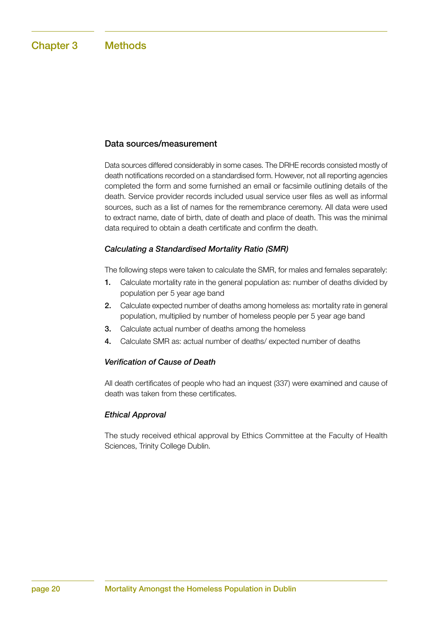#### Data sources/measurement

Data sources differed considerably in some cases. The DRHE records consisted mostly of death notifications recorded on a standardised form. However, not all reporting agencies completed the form and some furnished an email or facsimile outlining details of the death. Service provider records included usual service user files as well as informal sources, such as a list of names for the remembrance ceremony. All data were used to extract name, date of birth, date of death and place of death. This was the minimal data required to obtain a death certificate and confirm the death.

#### *Calculating a Standardised Mortality Ratio (SMR)*

The following steps were taken to calculate the SMR, for males and females separately:

- 1. Calculate mortality rate in the general population as: number of deaths divided by population per 5 year age band
- 2. Calculate expected number of deaths among homeless as: mortality rate in general population, multiplied by number of homeless people per 5 year age band
- 3. Calculate actual number of deaths among the homeless
- 4. Calculate SMR as: actual number of deaths/ expected number of deaths

#### *Verification of Cause of Death*

All death certificates of people who had an inquest (337) were examined and cause of death was taken from these certificates.

#### *Ethical Approval*

The study received ethical approval by Ethics Committee at the Faculty of Health Sciences, Trinity College Dublin.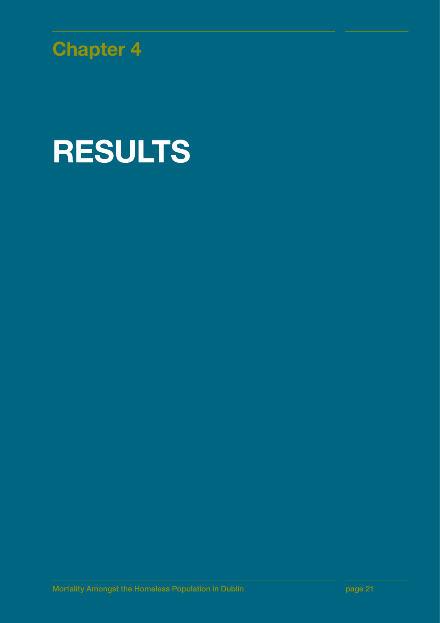

# RESULTS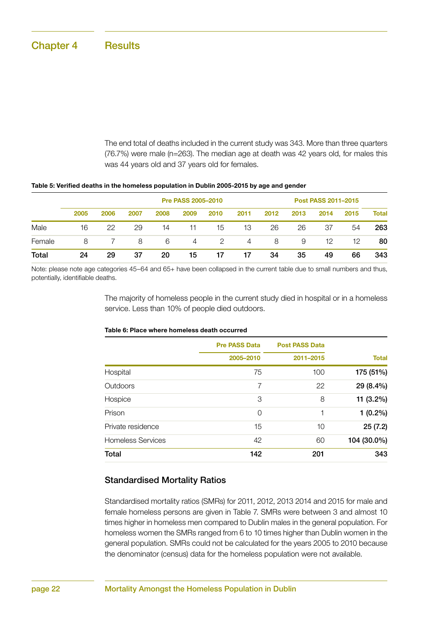The end total of deaths included in the current study was 343. More than three quarters (76.7%) were male (n=263). The median age at death was 42 years old, for males this was 44 years old and 37 years old for females.

|  | Table 5: Verified deaths in the homeless population in Dublin 2005-2015 by age and gender |  |
|--|-------------------------------------------------------------------------------------------|--|
|--|-------------------------------------------------------------------------------------------|--|

|        |      |      |      | Post PASS 2011-2015 |      |      |      |      |      |      |      |       |
|--------|------|------|------|---------------------|------|------|------|------|------|------|------|-------|
|        | 2005 | 2006 | 2007 | 2008                | 2009 | 2010 | 2011 | 2012 | 2013 | 2014 | 2015 | Total |
| Male   | 16   | 22   | 29   | 14                  | 11   | 15   | 13   | 26   | 26   | 37   | 54   | 263   |
| Female | 8    |      | 8    | 6                   | 4    | 2    | 4    | 8    | 9    | 12   | 12   | 80    |
| Total  | 24   | 29   | 37   | 20                  | 15   | 17   | 17   | 34   | 35   | 49   | 66   | 343   |

Note: please note age categories 45–64 and 65+ have been collapsed in the current table due to small numbers and thus, potentially, identifiable deaths.

> The majority of homeless people in the current study died in hospital or in a homeless service. Less than 10% of people died outdoors.

> Prison 0 1 1 (0.2%) Private residence 15 10 25 (7.2) Homeless Services **42** 60 **104 (30.0%)** Total 142 201 343

|          | <b>Pre PASS Data</b> | <b>Post PASS Data</b> |              |
|----------|----------------------|-----------------------|--------------|
|          | 2005-2010            | 2011-2015             | <b>Total</b> |
| Hospital | 75                   | 100                   | 175 (51%)    |
| Outdoors |                      | 22                    | 29 (8.4%)    |
| Hospice  | З                    | 8                     | 11 (3.2%)    |

#### Table 6: Place where homeless death occurred

#### Standardised Mortality Ratios

Standardised mortality ratios (SMRs) for 2011, 2012, 2013 2014 and 2015 for male and female homeless persons are given in Table 7. SMRs were between 3 and almost 10 times higher in homeless men compared to Dublin males in the general population. For homeless women the SMRs ranged from 6 to 10 times higher than Dublin women in the general population. SMRs could not be calculated for the years 2005 to 2010 because the denominator (census) data for the homeless population were not available.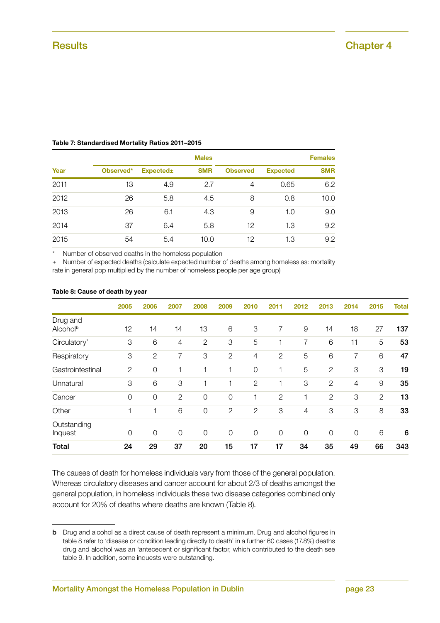|      | <b>Males</b> |                 |            |                 |                 |            |  |  |
|------|--------------|-----------------|------------|-----------------|-----------------|------------|--|--|
| Year | Observed*    | <b>Expected</b> | <b>SMR</b> | <b>Observed</b> | <b>Expected</b> | <b>SMR</b> |  |  |
| 2011 | 13           | 4.9             | 2.7        | 4               | 0.65            | 6.2        |  |  |
| 2012 | 26           | 5.8             | 4.5        | 8               | 0.8             | 10.0       |  |  |
| 2013 | 26           | 6.1             | 4.3        | 9               | 1.0             | 9.0        |  |  |
| 2014 | 37           | 6.4             | 5.8        | 12              | 1.3             | 9.2        |  |  |
| 2015 | 54           | 5.4             | 10.0       | 12              | 1.3             | 9.2        |  |  |

#### Table 7: Standardised Mortality Ratios 2011–2015

Number of observed deaths in the homeless population

± Number of expected deaths (calculate expected number of deaths among homeless as: mortality rate in general pop multiplied by the number of homeless people per age group)

|                                  | 2005           | 2006           | 2007           | 2008           | 2009           | 2010           | 2011           | 2012           | 2013           | 2014           | 2015                      | Total           |
|----------------------------------|----------------|----------------|----------------|----------------|----------------|----------------|----------------|----------------|----------------|----------------|---------------------------|-----------------|
| Drug and<br>Alcohol <sup>b</sup> | 12             | 14             | 14             | 13             | 6              | 3              | 7              | $\overline{9}$ | 14             | 18             | 27                        | 137             |
| Circulatory'                     | 3              | 6              | 4              | 2              | 3              | 5              |                | 7              | 6              | 11             | 5                         | 53              |
| Respiratory                      | 3              | $\mathbf{2}$   | 7              | 3              | 2              | 4              | $\overline{2}$ | 5              | 6              | 7              | 6                         | 47              |
| Gastrointestinal                 | 2              | 0              | 1              |                | $\mathbf 1$    | $\mathcal{O}$  | 1              | 5              | $\overline{2}$ | 3              | $\ensuremath{\mathsf{3}}$ | 19              |
| Unnatural                        | 3              | 6              | 3              | 1              | 1              | $\mathbf{2}$   | 1              | 3              | $\overline{2}$ | 4              | 9                         | 35              |
| Cancer                           | $\mathbf 0$    | 0              | $\mathbf{2}$   | 0              | $\mathbf 0$    |                | $\overline{2}$ |                | $\mathbf{2}$   | 3              | $\mathbf{2}$              | 13              |
| Other                            | 1              | 1              | 6              | $\overline{0}$ | $\overline{2}$ | $\mathbf{2}$   | 3              | 4              | 3              | 3              | 8                         | 33              |
| Outstanding<br>Inquest           | $\overline{0}$ | $\overline{0}$ | $\overline{0}$ | $\overline{0}$ | $\overline{0}$ | $\overline{0}$ | $\mathbf 0$    | $\overline{0}$ | $\overline{O}$ | $\overline{0}$ | 6                         | $6\phantom{1}6$ |
| <b>Total</b>                     | 24             | 29             | 37             | 20             | 15             | 17             | 17             | 34             | 35             | 49             | 66                        | 343             |

#### Table 8: Cause of death by year

The causes of death for homeless individuals vary from those of the general population. Whereas circulatory diseases and cancer account for about 2/3 of deaths amongst the general population, in homeless individuals these two disease categories combined only account for 20% of deaths where deaths are known (Table 8).

**b** Drug and alcohol as a direct cause of death represent a minimum. Drug and alcohol figures in table 8 refer to 'disease or condition leading directly to death' in a further 60 cases (17.8%) deaths drug and alcohol was an 'antecedent or significant factor, which contributed to the death see table 9. In addition, some inquests were outstanding.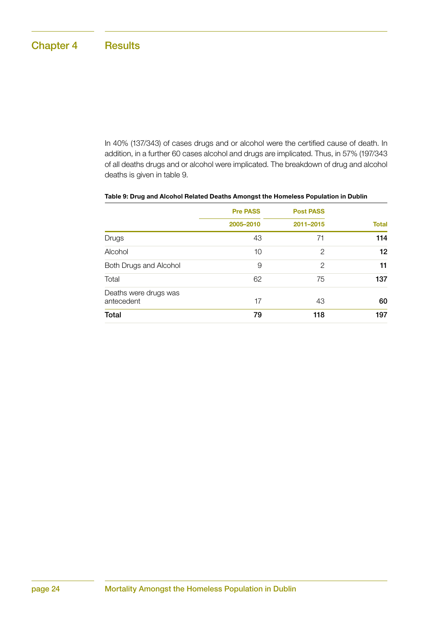In 40% (137/343) of cases drugs and or alcohol were the certified cause of death. In addition, in a further 60 cases alcohol and drugs are implicated. Thus, in 57% (197/343 of all deaths drugs and or alcohol were implicated. The breakdown of drug and alcohol deaths is given in table 9.

|                                     | <b>Pre PASS</b> | <b>Post PASS</b> |              |  |
|-------------------------------------|-----------------|------------------|--------------|--|
|                                     | 2005-2010       | 2011-2015        | <b>Total</b> |  |
| Drugs                               | 43              | 71               | 114          |  |
| Alcohol                             | 10              | 2                | 12           |  |
| Both Drugs and Alcohol              | 9               | 2                | 11           |  |
| Total                               | 62              | 75               | 137          |  |
| Deaths were drugs was<br>antecedent | 17              | 43               | 60           |  |
| Total                               | 79              | 118              | 197          |  |

#### Table 9: Drug and Alcohol Related Deaths Amongst the Homeless Population in Dublin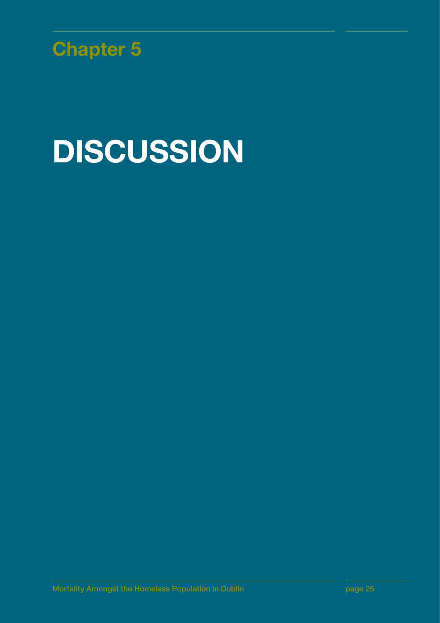

# DISCUSSION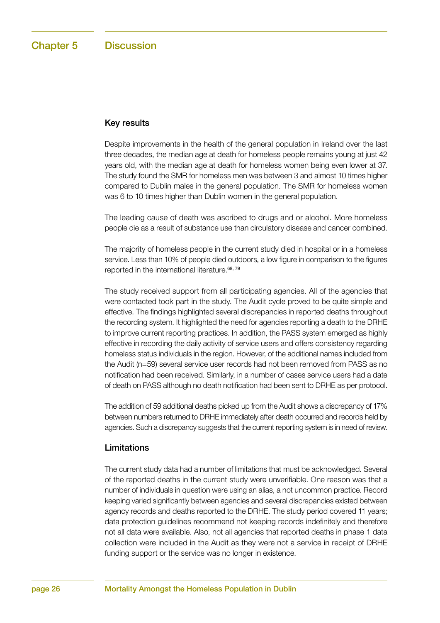#### Key results

Despite improvements in the health of the general population in Ireland over the last three decades, the median age at death for homeless people remains young at just 42 years old, with the median age at death for homeless women being even lower at 37. The study found the SMR for homeless men was between 3 and almost 10 times higher compared to Dublin males in the general population. The SMR for homeless women was 6 to 10 times higher than Dublin women in the general population.

The leading cause of death was ascribed to drugs and or alcohol. More homeless people die as a result of substance use than circulatory disease and cancer combined.

The majority of homeless people in the current study died in hospital or in a homeless service. Less than 10% of people died outdoors, a low figure in comparison to the figures reported in the international literature.68, 79

The study received support from all participating agencies. All of the agencies that were contacted took part in the study. The Audit cycle proved to be quite simple and effective. The findings highlighted several discrepancies in reported deaths throughout the recording system. It highlighted the need for agencies reporting a death to the DRHE to improve current reporting practices. In addition, the PASS system emerged as highly effective in recording the daily activity of service users and offers consistency regarding homeless status individuals in the region. However, of the additional names included from the Audit (n=59) several service user records had not been removed from PASS as no notification had been received. Similarly, in a number of cases service users had a date of death on PASS although no death notification had been sent to DRHE as per protocol.

The addition of 59 additional deaths picked up from the Audit shows a discrepancy of 17% between numbers returned to DRHE immediately after death occurred and records held by agencies. Such a discrepancy suggests that the current reporting system is in need of review.

#### Limitations

The current study data had a number of limitations that must be acknowledged. Several of the reported deaths in the current study were unverifiable. One reason was that a number of individuals in question were using an alias, a not uncommon practice. Record keeping varied significantly between agencies and several discrepancies existed between agency records and deaths reported to the DRHE. The study period covered 11 years; data protection guidelines recommend not keeping records indefinitely and therefore not all data were available. Also, not all agencies that reported deaths in phase 1 data collection were included in the Audit as they were not a service in receipt of DRHE funding support or the service was no longer in existence.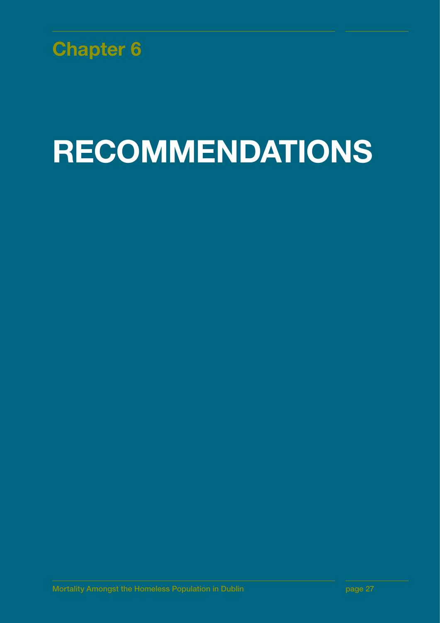

# RECOMMENDATIONS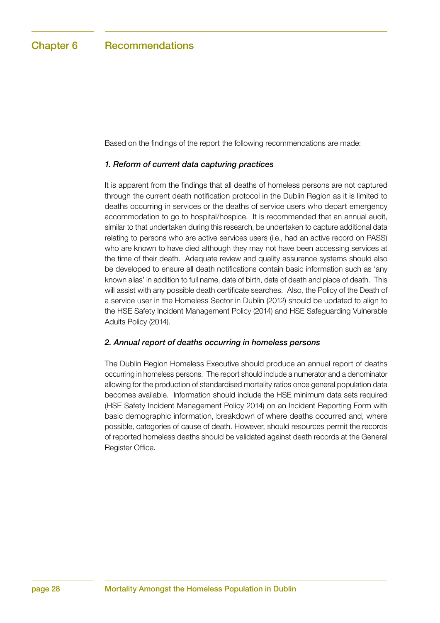Based on the findings of the report the following recommendations are made:

#### *1. Reform of current data capturing practices*

It is apparent from the findings that all deaths of homeless persons are not captured through the current death notification protocol in the Dublin Region as it is limited to deaths occurring in services or the deaths of service users who depart emergency accommodation to go to hospital/hospice. It is recommended that an annual audit, similar to that undertaken during this research, be undertaken to capture additional data relating to persons who are active services users (i.e., had an active record on PASS) who are known to have died although they may not have been accessing services at the time of their death. Adequate review and quality assurance systems should also be developed to ensure all death notifications contain basic information such as 'any known alias' in addition to full name, date of birth, date of death and place of death. This will assist with any possible death certificate searches. Also, the Policy of the Death of a service user in the Homeless Sector in Dublin (2012) should be updated to align to the HSE Safety Incident Management Policy (2014) and HSE Safeguarding Vulnerable Adults Policy (2014).

#### *2. Annual report of deaths occurring in homeless persons*

The Dublin Region Homeless Executive should produce an annual report of deaths occurring in homeless persons. The report should include a numerator and a denominator allowing for the production of standardised mortality ratios once general population data becomes available. Information should include the HSE minimum data sets required (HSE Safety Incident Management Policy 2014) on an Incident Reporting Form with basic demographic information, breakdown of where deaths occurred and, where possible, categories of cause of death. However, should resources permit the records of reported homeless deaths should be validated against death records at the General Register Office.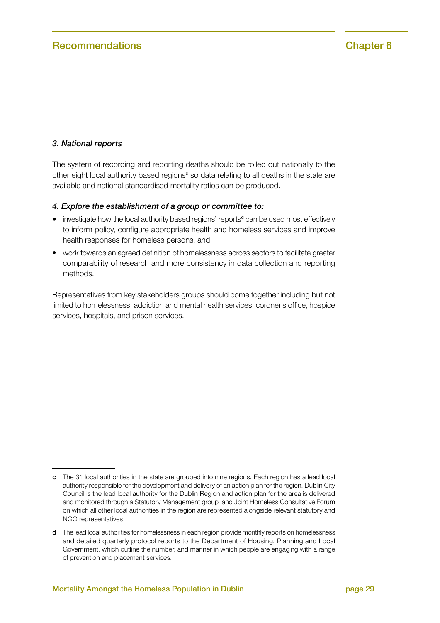#### *3. National reports*

The system of recording and reporting deaths should be rolled out nationally to the other eight local authority based regions<sup>c</sup> so data relating to all deaths in the state are available and national standardised mortality ratios can be produced.

#### *4. Explore the establishment of a group or committee to:*

- investigate how the local authority based regions' reports<sup>d</sup> can be used most effectively to inform policy, configure appropriate health and homeless services and improve health responses for homeless persons, and
- work towards an agreed definition of homelessness across sectors to facilitate greater comparability of research and more consistency in data collection and reporting methods.

Representatives from key stakeholders groups should come together including but not limited to homelessness, addiction and mental health services, coroner's office, hospice services, hospitals, and prison services.

c The 31 local authorities in the state are grouped into nine regions. Each region has a lead local authority responsible for the development and delivery of an action plan for the region. Dublin City Council is the lead local authority for the Dublin Region and action plan for the area is delivered and monitored through a Statutory Management group and Joint Homeless Consultative Forum on which all other local authorities in the region are represented alongside relevant statutory and NGO representatives

d The lead local authorities for homelessness in each region provide monthly reports on homelessness and detailed quarterly protocol reports to the Department of Housing, Planning and Local Government, which outline the number, and manner in which people are engaging with a range of prevention and placement services.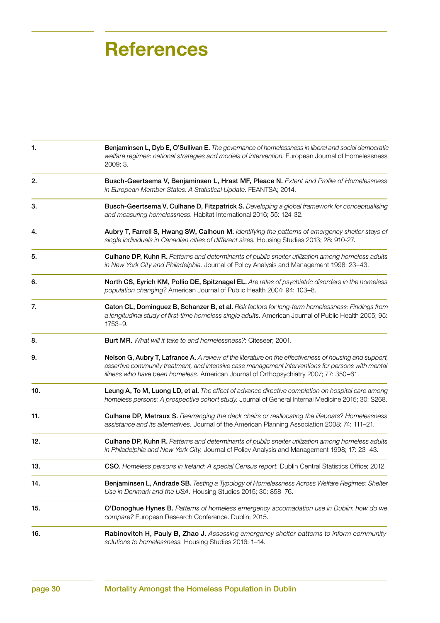| 1.  | Benjaminsen L, Dyb E, O'Sullivan E. The governance of homelessness in liberal and social democratic<br>welfare regimes: national strategies and models of intervention. European Journal of Homelessness<br>2009; 3.                                                                                  |
|-----|-------------------------------------------------------------------------------------------------------------------------------------------------------------------------------------------------------------------------------------------------------------------------------------------------------|
| 2.  | Busch-Geertsema V, Benjaminsen L, Hrast MF, Pleace N. Extent and Profile of Homelessness<br>in European Member States: A Statistical Update. FEANTSA; 2014.                                                                                                                                           |
| 3.  | Busch-Geertsema V, Culhane D, Fitzpatrick S. Developing a global framework for conceptualising<br>and measuring homelessness. Habitat International 2016; 55: 124-32.                                                                                                                                 |
| 4.  | Aubry T, Farrell S, Hwang SW, Calhoun M. Identifying the patterns of emergency shelter stays of<br>single individuals in Canadian cities of different sizes. Housing Studies 2013; 28: 910-27.                                                                                                        |
| 5.  | Culhane DP, Kuhn R. Patterns and determinants of public shelter utilization among homeless adults<br>in New York City and Philadelphia. Journal of Policy Analysis and Management 1998: 23-43.                                                                                                        |
| 6.  | North CS, Eyrich KM, Pollio DE, Spitznagel EL. Are rates of psychiatric disorders in the homeless<br>population changing? American Journal of Public Health 2004; 94: 103-8.                                                                                                                          |
| 7.  | Caton CL, Dominguez B, Schanzer B, et al. Risk factors for long-term homelessness: Findings from<br>a longitudinal study of first-time homeless single adults. American Journal of Public Health 2005; 95:<br>1753-9.                                                                                 |
| 8.  | Burt MR. What will it take to end homelessness?: Citeseer; 2001.                                                                                                                                                                                                                                      |
| 9.  | Nelson G, Aubry T, Lafrance A. A review of the literature on the effectiveness of housing and support,<br>assertive community treatment, and intensive case management interventions for persons with mental<br>illness who have been homeless. American Journal of Orthopsychiatry 2007; 77: 350-61. |
| 10. | Leung A, To M, Luong LD, et al. The effect of advance directive completion on hospital care among<br>homeless persons: A prospective cohort study. Journal of General Internal Medicine 2015; 30: S268.                                                                                               |
| 11. | <b>Culhane DP, Metraux S.</b> Rearranging the deck chairs or reallocating the lifeboats? Homelessness<br>assistance and its alternatives. Journal of the American Planning Association 2008; 74: 111-21.                                                                                              |
| 12. | Culhane DP, Kuhn R. Patterns and determinants of public shelter utilization among homeless adults<br>in Philadelphia and New York City. Journal of Policy Analysis and Management 1998; 17: 23-43.                                                                                                    |
| 13. | CSO. Homeless persons in Ireland: A special Census report. Dublin Central Statistics Office; 2012.                                                                                                                                                                                                    |
| 14. | Benjaminsen L, Andrade SB. Testing a Typology of Homelessness Across Welfare Regimes: Shelter<br>Use in Denmark and the USA. Housing Studies 2015; 30: 858-76.                                                                                                                                        |
| 15. | O'Donoghue Hynes B. Patterns of homeless emergency accomadation use in Dublin: how do we<br>compare? European Research Conference. Dublin; 2015.                                                                                                                                                      |
| 16. | Rabinovitch H, Pauly B, Zhao J. Assessing emergency shelter patterns to inform community<br>solutions to homelessness. Housing Studies 2016: 1-14.                                                                                                                                                    |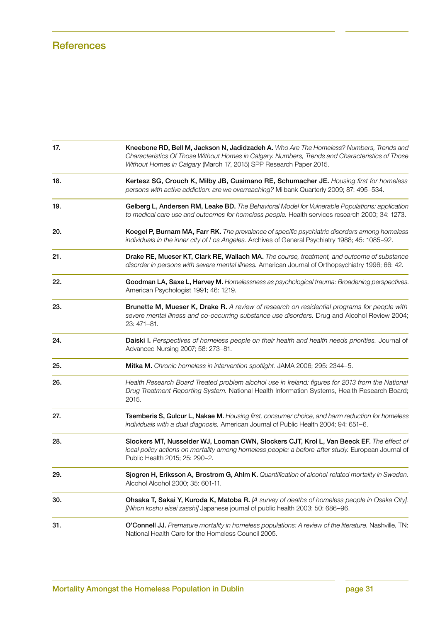| 17. | Kneebone RD, Bell M, Jackson N, Jadidzadeh A. Who Are The Homeless? Numbers, Trends and<br>Characteristics Of Those Without Homes in Calgary. Numbers, Trends and Characteristics of Those<br>Without Homes in Calgary (March 17, 2015) SPP Research Paper 2015. |
|-----|------------------------------------------------------------------------------------------------------------------------------------------------------------------------------------------------------------------------------------------------------------------|
| 18. | Kertesz SG, Crouch K, Milby JB, Cusimano RE, Schumacher JE. Housing first for homeless<br>persons with active addiction: are we overreaching? Milbank Quarterly 2009; 87: 495-534.                                                                               |
| 19. | Gelberg L, Andersen RM, Leake BD. The Behavioral Model for Vulnerable Populations: application<br>to medical care use and outcomes for homeless people. Health services research 2000; 34: 1273.                                                                 |
| 20. | Koegel P, Burnam MA, Farr RK. The prevalence of specific psychiatric disorders among homeless<br>individuals in the inner city of Los Angeles. Archives of General Psychiatry 1988; 45: 1085-92.                                                                 |
| 21. | Drake RE, Mueser KT, Clark RE, Wallach MA. The course, treatment, and outcome of substance<br>disorder in persons with severe mental illness. American Journal of Orthopsychiatry 1996; 66: 42.                                                                  |
| 22. | Goodman LA, Saxe L, Harvey M. Homelessness as psychological trauma: Broadening perspectives.<br>American Psychologist 1991; 46: 1219.                                                                                                                            |
| 23. | Brunette M, Mueser K, Drake R. A review of research on residential programs for people with<br>severe mental illness and co-occurring substance use disorders. Drug and Alcohol Review 2004;<br>23: 471-81.                                                      |
| 24. | <b>Daiski I.</b> Perspectives of homeless people on their health and health needs priorities. Journal of<br>Advanced Nursing 2007; 58: 273-81.                                                                                                                   |
| 25. | Mitka M. Chronic homeless in intervention spotlight. JAMA 2006; 295: 2344-5.                                                                                                                                                                                     |
| 26. | Health Research Board Treated problem alcohol use in Ireland: figures for 2013 from the National<br>Drug Treatment Reporting System. National Health Information Systems, Health Research Board;<br>2015.                                                        |
| 27. | Tsemberis S, Gulcur L, Nakae M. Housing first, consumer choice, and harm reduction for homeless<br>individuals with a dual diagnosis. American Journal of Public Health 2004; 94: 651-6.                                                                         |
| 28. | Slockers MT, Nusselder WJ, Looman CWN, Slockers CJT, Krol L, Van Beeck EF. The effect of<br>local policy actions on mortality among homeless people: a before-after study. European Journal of<br>Public Health 2015; 25: 290-2.                                 |
| 29. | Sjogren H, Eriksson A, Brostrom G, Ahlm K. Quantification of alcohol-related mortality in Sweden.<br>Alcohol Alcohol 2000; 35: 601-11.                                                                                                                           |
| 30. | Ohsaka T, Sakai Y, Kuroda K, Matoba R. [A survey of deaths of homeless people in Osaka City].<br>[Nihon koshu eisei zasshi] Japanese journal of public health 2003; 50: 686-96.                                                                                  |
| 31. | O'Connell JJ. Premature mortality in homeless populations: A review of the literature. Nashville, TN:<br>National Health Care for the Homeless Council 2005.                                                                                                     |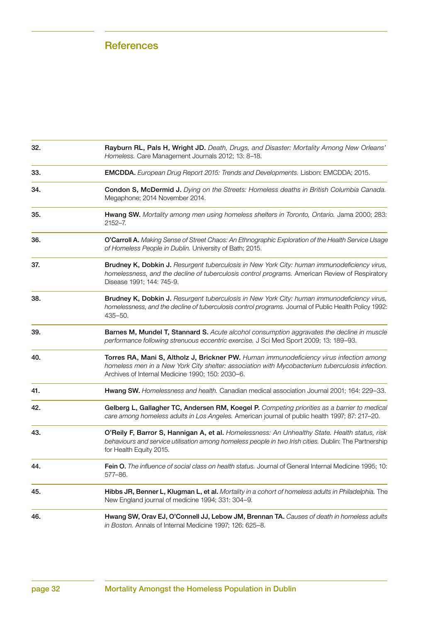| 32. | Rayburn RL, Pals H, Wright JD. Death, Drugs, and Disaster: Mortality Among New Orleans'<br>Homeless. Care Management Journals 2012; 13: 8–18.                                                                                                  |
|-----|------------------------------------------------------------------------------------------------------------------------------------------------------------------------------------------------------------------------------------------------|
| 33. | EMCDDA. European Drug Report 2015: Trends and Developments. Lisbon: EMCDDA; 2015.                                                                                                                                                              |
| 34. | Condon S, McDermid J. Dying on the Streets: Homeless deaths in British Columbia Canada.<br>Megaphone; 2014 November 2014.                                                                                                                      |
| 35. | Hwang SW. Mortality among men using homeless shelters in Toronto, Ontario. Jama 2000; 283:<br>$2152 - 7$ .                                                                                                                                     |
| 36. | O'Carroll A. Making Sense of Street Chaos: An Ethnographic Exploration of the Health Service Usage<br>of Homeless People in Dublin. University of Bath; 2015.                                                                                  |
| 37. | Brudney K, Dobkin J. Resurgent tuberculosis in New York City: human immunodeficiency virus,<br>homelessness, and the decline of tuberculosis control programs. American Review of Respiratory<br>Disease 1991; 144: 745-9.                     |
| 38. | Brudney K, Dobkin J. Resurgent tuberculosis in New York City: human immunodeficiency virus,<br>homelessness, and the decline of tuberculosis control programs. Journal of Public Health Policy 1992:<br>$435 - 50.$                            |
| 39. | Barnes M, Mundel T, Stannard S. Acute alcohol consumption aggravates the decline in muscle<br>performance following strenuous eccentric exercise. J Sci Med Sport 2009; 13: 189-93.                                                            |
| 40. | Torres RA, Mani S, Altholz J, Brickner PW. Human immunodeficiency virus infection among<br>homeless men in a New York City shelter: association with Mycobacterium tuberculosis infection.<br>Archives of Internal Medicine 1990; 150: 2030-6. |
| 41. | Hwang SW. Homelessness and health. Canadian medical association Journal 2001; 164: 229-33.                                                                                                                                                     |
| 42. | Gelberg L, Gallagher TC, Andersen RM, Koegel P. Competing priorities as a barrier to medical<br>care among homeless adults in Los Angeles. American journal of public health 1997; 87: 217-20.                                                 |
| 43. | O'Reily F, Barror S, Hannigan A, et al. Homelessness: An Unhealthy State. Health status, risk<br>behaviours and service utilisation among homeless people in two Irish cities. Dublin: The Partnership<br>for Health Equity 2015.              |
| 44. | Fein O. The influence of social class on health status. Journal of General Internal Medicine 1995; 10:<br>577-86.                                                                                                                              |
| 45. | Hibbs JR, Benner L, Klugman L, et al. Mortality in a cohort of homeless adults in Philadelphia. The<br>New England journal of medicine 1994; 331: 304-9.                                                                                       |
| 46. | Hwang SW, Orav EJ, O'Connell JJ, Lebow JM, Brennan TA. Causes of death in homeless adults<br>in Boston. Annals of Internal Medicine 1997; 126: 625-8.                                                                                          |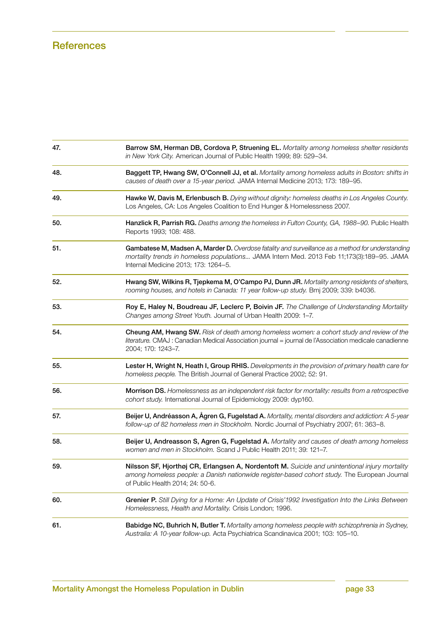| 47. | Barrow SM, Herman DB, Cordova P, Struening EL. Mortality among homeless shelter residents<br>in New York City. American Journal of Public Health 1999; 89: 529-34.                                                                     |
|-----|----------------------------------------------------------------------------------------------------------------------------------------------------------------------------------------------------------------------------------------|
| 48. | Baggett TP, Hwang SW, O'Connell JJ, et al. Mortality among homeless adults in Boston: shifts in<br>causes of death over a 15-year period. JAMA Internal Medicine 2013; 173: 189-95.                                                    |
| 49. | Hawke W, Davis M, Erlenbusch B. Dying without dignity: homeless deaths in Los Angeles County.<br>Los Angeles, CA: Los Angeles Coalition to End Hunger & Homelessness 2007.                                                             |
| 50. | Hanzlick R, Parrish RG. Deaths among the homeless in Fulton County, GA, 1988-90. Public Health<br>Reports 1993; 108: 488.                                                                                                              |
| 51. | Gambatese M, Madsen A, Marder D. Overdose fatality and surveillance as a method for understanding<br>mortality trends in homeless populations JAMA Intern Med. 2013 Feb 11;173(3):189-95. JAMA<br>Internal Medicine 2013; 173: 1264-5. |
| 52. | Hwang SW, Wilkins R, Tjepkema M, O'Campo PJ, Dunn JR. Mortality among residents of shelters,<br>rooming houses, and hotels in Canada: 11 year follow-up study. Bmj 2009; 339: b4036.                                                   |
| 53. | Roy E, Haley N, Boudreau JF, Leclerc P, Boivin JF. The Challenge of Understanding Mortality<br>Changes among Street Youth. Journal of Urban Health 2009: 1-7.                                                                          |
| 54. | Cheung AM, Hwang SW. Risk of death among homeless women: a cohort study and review of the<br>literature. CMAJ : Canadian Medical Association journal = journal de l'Association medicale canadienne<br>2004; 170: 1243-7.              |
| 55. | Lester H, Wright N, Heath I, Group RHIS. Developments in the provision of primary health care for<br>homeless people. The British Journal of General Practice 2002; 52: 91.                                                            |
| 56. | Morrison DS. Homelessness as an independent risk factor for mortality: results from a retrospective<br>cohort study. International Journal of Epidemiology 2009: dyp160.                                                               |
| 57. | Beijer U, Andréasson A, Ägren G, Fugelstad A. Mortality, mental disorders and addiction: A 5-year<br>follow-up of 82 homeless men in Stockholm. Nordic Journal of Psychiatry 2007; 61: 363-8.                                          |
| 58. | Beijer U, Andreasson S, Agren G, Fugelstad A. Mortality and causes of death among homeless<br>women and men in Stockholm. Scand J Public Health 2011; 39: 121-7.                                                                       |
| 59. | Nilsson SF, Hjorthøj CR, Erlangsen A, Nordentoft M. Suicide and unintentional injury mortality<br>among homeless people: a Danish nationwide register-based cohort study. The European Journal<br>of Public Health 2014; 24: 50-6.     |
| 60. | Grenier P. Still Dying for a Home: An Update of Crisis'1992 Investigation Into the Links Between<br>Homelessness, Health and Mortality. Crisis London; 1996.                                                                           |
| 61. | Babidge NC, Buhrich N, Butler T. Mortality among homeless people with schizophrenia in Sydney,<br>Australia: A 10-year follow-up. Acta Psychiatrica Scandinavica 2001; 103: 105-10.                                                    |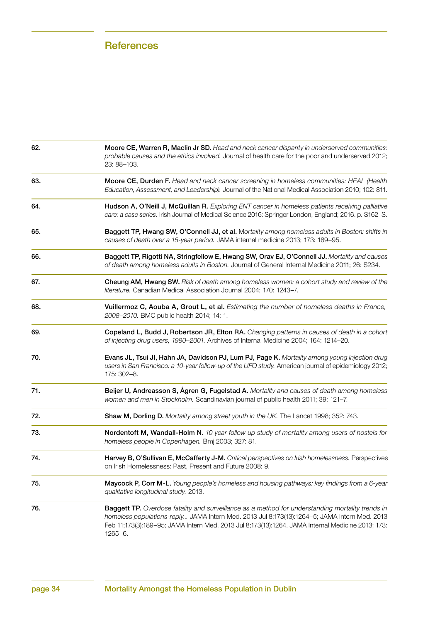| 62. | Moore CE, Warren R, Maclin Jr SD. Head and neck cancer disparity in underserved communities:<br>probable causes and the ethics involved. Journal of health care for the poor and underserved 2012;<br>23: 88-103.                                                                                                    |
|-----|----------------------------------------------------------------------------------------------------------------------------------------------------------------------------------------------------------------------------------------------------------------------------------------------------------------------|
| 63. | Moore CE, Durden F. Head and neck cancer screening in homeless communities: HEAL (Health<br>Education, Assessment, and Leadership). Journal of the National Medical Association 2010; 102: 811.                                                                                                                      |
| 64. | Hudson A, O'Neill J, McQuillan R. Exploring ENT cancer in homeless patients receiving palliative<br>care: a case series. Irish Journal of Medical Science 2016: Springer London, England; 2016. p. S162-S.                                                                                                           |
| 65. | Baggett TP, Hwang SW, O'Connell JJ, et al. Mortality among homeless adults in Boston: shifts in<br>causes of death over a 15-year period. JAMA internal medicine 2013; 173: 189-95.                                                                                                                                  |
| 66. | Baggett TP, Rigotti NA, Stringfellow E, Hwang SW, Orav EJ, O'Connell JJ. Mortality and causes<br>of death among homeless adults in Boston. Journal of General Internal Medicine 2011; 26: S234.                                                                                                                      |
| 67. | Cheung AM, Hwang SW. Risk of death among homeless women: a cohort study and review of the<br>literature. Canadian Medical Association Journal 2004; 170: 1243-7.                                                                                                                                                     |
| 68. | Vuillermoz C, Aouba A, Grout L, et al. Estimating the number of homeless deaths in France,<br>2008-2010. BMC public health 2014; 14: 1.                                                                                                                                                                              |
| 69. | Copeland L, Budd J, Robertson JR, Elton RA. Changing patterns in causes of death in a cohort<br>of injecting drug users, 1980-2001. Archives of Internal Medicine 2004; 164: 1214-20.                                                                                                                                |
| 70. | Evans JL, Tsui JI, Hahn JA, Davidson PJ, Lum PJ, Page K. Mortality among young injection drug<br>users in San Francisco: a 10-year follow-up of the UFO study. American journal of epidemiology 2012;<br>175: 302-8.                                                                                                 |
| 71. | Beijer U, Andreasson S, Ågren G, Fugelstad A. Mortality and causes of death among homeless<br>women and men in Stockholm. Scandinavian journal of public health 2011; 39: 121-7.                                                                                                                                     |
| 72. | Shaw M, Dorling D. Mortality among street youth in the UK. The Lancet 1998; 352: 743.                                                                                                                                                                                                                                |
| 73. | Nordentoft M, Wandall-Holm N. 10 year follow up study of mortality among users of hostels for<br>homeless people in Copenhagen. Bmj 2003; 327: 81.                                                                                                                                                                   |
| 74. | Harvey B, O'Sullivan E, McCafferty J-M. Critical perspectives on Irish homelessness. Perspectives<br>on Irish Homelessness: Past, Present and Future 2008: 9.                                                                                                                                                        |
| 75. | Maycock P, Corr M-L. Young people's homeless and housing pathways: key findings from a 6-year<br>qualitative longitudinal study. 2013.                                                                                                                                                                               |
| 76. | Baggett TP. Overdose fatality and surveillance as a method for understanding mortality trends in<br>homeless populations-reply JAMA Intern Med. 2013 Jul 8;173(13):1264-5; JAMA Intern Med. 2013<br>Feb 11;173(3):189-95; JAMA Intern Med. 2013 Jul 8;173(13):1264. JAMA Internal Medicine 2013; 173:<br>$1265 - 6.$ |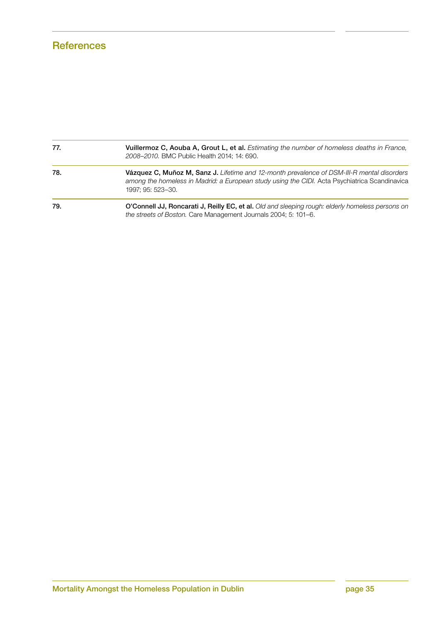| 77. | Vuillermoz C, Aouba A, Grout L, et al. Estimating the number of homeless deaths in France,<br>2008-2010. BMC Public Health 2014; 14: 690.                                                                        |
|-----|------------------------------------------------------------------------------------------------------------------------------------------------------------------------------------------------------------------|
| 78. | Vázquez C, Muñoz M, Sanz J. Lifetime and 12-month prevalence of DSM-III-R mental disorders<br>among the homeless in Madrid: a European study using the CIDI. Acta Psychiatrica Scandinavica<br>1997: 95: 523-30. |
| 79. | O'Connell JJ, Roncarati J, Reilly EC, et al. Old and sleeping rough: elderly homeless persons on<br>the streets of Boston. Care Management Journals 2004; 5: 101–6.                                              |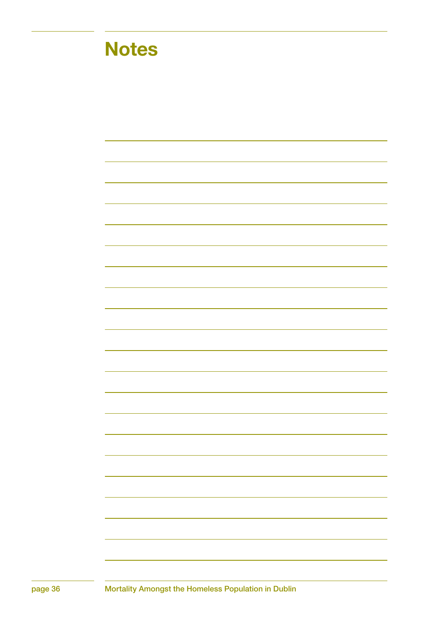## **Notes**